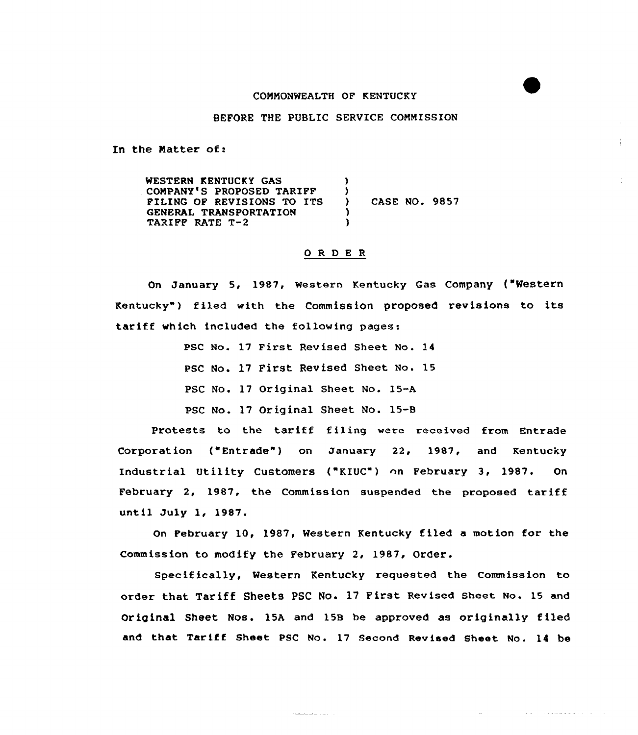## COMMONWEALTH OF KENTUCKY

## BEFORE THE PUBLIC SERVICE COMMISSION

In the Natter of:

WESTERN KENTUCKY GAS COMPANY'S PROPOSED TARIFF FILING OF REVISIONS TO ITS GENERAL TRANSPORTATION TARIFF RATE T-2 )  $\left\{ \right\}$ ) CASE NO. 9857 ) )

## 0 <sup>R</sup> <sup>D</sup> E <sup>R</sup>

on January 5, 1987, western Kentucky Gas company ("western Kentucky") filed with the Commission proposed revisions to its tariff which included the following pages:

> PSC No. 17 First Revised Sheet No. 14 PSC No. 17 First Revised Sheet No. 15 PSC No. 17 Original Sheet No. 15-A PSC No. 17 Original Sheet No. 15-8

Protests to the tariff fi1ing were received from Entrade Corporation ("Entrade") on January 22, 1987, and Kentucky Industrial Utility Customers ("KIUC") on February 3, 1987. On February 2, 1987, the Commission suspended the proposed tariff until July 1, 1987.

On February 10, 1987< Western Kentucky ffled a motion for the Commission to modify the February 2, 1987, Order.

specifically, Western Kentucky requested the Commission to order that Tariff Sheets PSC No. 17 First Revised sheet No. <sup>15</sup> and Original Sheet Nos. 15A and 15B be approved as originally filed and that Tariff Sheet PSC No. 17 Second Revised Sheet No. 14 be

 $\alpha$  , and  $\alpha$  , and an analyzing a set of  $\alpha$  , and  $\alpha$